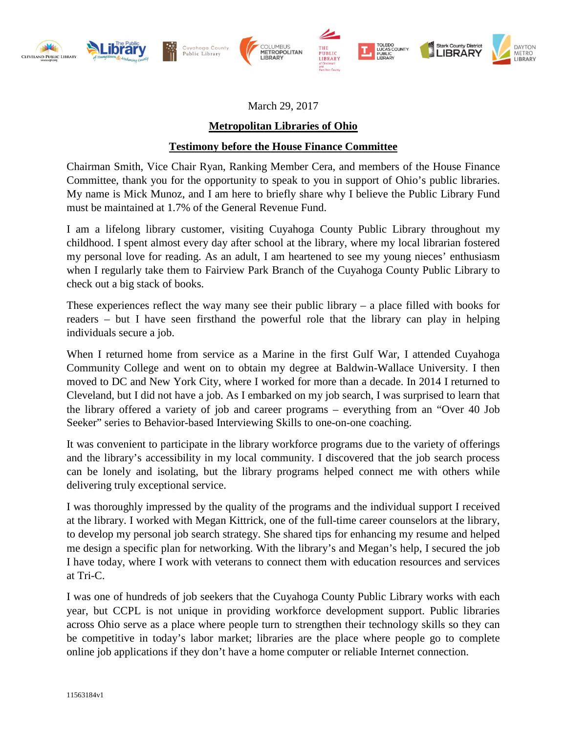

March 29, 2017

## **Metropolitan Libraries of Ohio**

## **Testimony before the House Finance Committee**

Chairman Smith, Vice Chair Ryan, Ranking Member Cera, and members of the House Finance Committee, thank you for the opportunity to speak to you in support of Ohio's public libraries. My name is Mick Munoz, and I am here to briefly share why I believe the Public Library Fund must be maintained at 1.7% of the General Revenue Fund.

I am a lifelong library customer, visiting Cuyahoga County Public Library throughout my childhood. I spent almost every day after school at the library, where my local librarian fostered my personal love for reading. As an adult, I am heartened to see my young nieces' enthusiasm when I regularly take them to Fairview Park Branch of the Cuyahoga County Public Library to check out a big stack of books.

These experiences reflect the way many see their public library  $-$  a place filled with books for readers – but I have seen firsthand the powerful role that the library can play in helping individuals secure a job.

When I returned home from service as a Marine in the first Gulf War, I attended Cuyahoga Community College and went on to obtain my degree at Baldwin-Wallace University. I then moved to DC and New York City, where I worked for more than a decade. In 2014 I returned to Cleveland, but I did not have a job. As I embarked on my job search, I was surprised to learn that the library offered a variety of job and career programs – everything from an "Over 40 Job Seeker" series to Behavior-based Interviewing Skills to one-on-one coaching.

It was convenient to participate in the library workforce programs due to the variety of offerings and the library's accessibility in my local community. I discovered that the job search process can be lonely and isolating, but the library programs helped connect me with others while delivering truly exceptional service.

I was thoroughly impressed by the quality of the programs and the individual support I received at the library. I worked with Megan Kittrick, one of the full-time career counselors at the library, to develop my personal job search strategy. She shared tips for enhancing my resume and helped me design a specific plan for networking. With the library's and Megan's help, I secured the job I have today, where I work with veterans to connect them with education resources and services at Tri-C.

I was one of hundreds of job seekers that the Cuyahoga County Public Library works with each year, but CCPL is not unique in providing workforce development support. Public libraries across Ohio serve as a place where people turn to strengthen their technology skills so they can be competitive in today's labor market; libraries are the place where people go to complete online job applications if they don't have a home computer or reliable Internet connection.